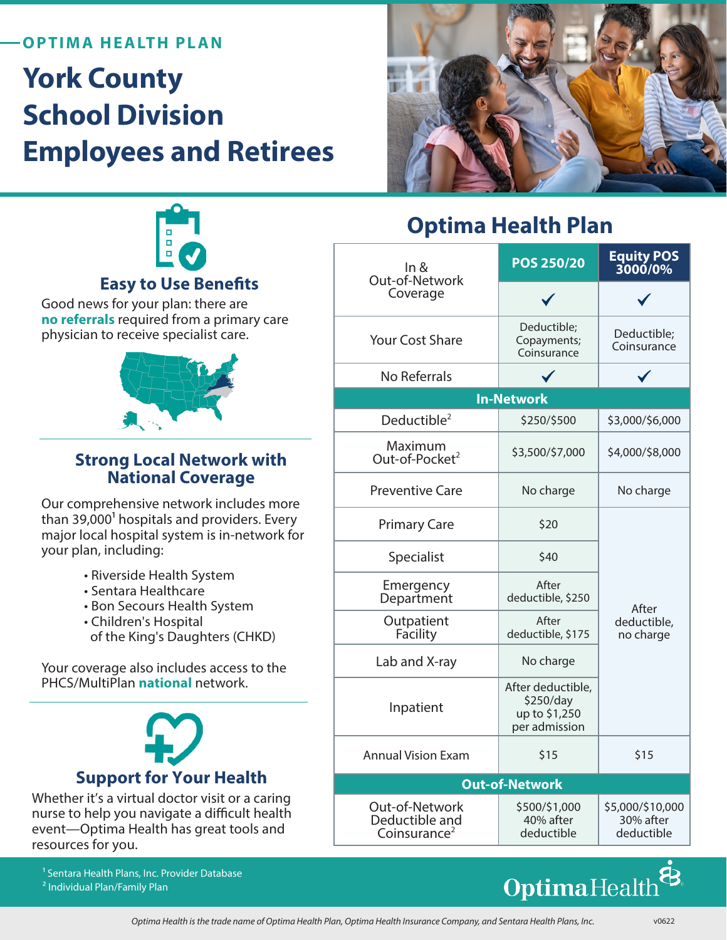### **OPTIMA HEALTH PLAN**

# **York County School Division Employees and Retirees**





### **Easy to Use Benefits**

Good news for your plan: there are **no referrals** required from a primary care physician to receive specialist care.



### **Strong Local Network with National Coverage**

Our comprehensive network includes more than 39,000<sup>1</sup> hospitals and providers. Every major local hospital system is in-network for your plan, including:

- Riverside Health System
- Sentara Healthcare
- Bon Secours Health System
- Children's Hospital of the King's Daughters (CHKD)

Your coverage also includes access to the PHCS/MultiPlan **national** network.



Whether it's a virtual doctor visit or a caring nurse to help you navigate a difficult health event—Optima Health has great tools and resources for you.

1 Sentara Health Plans, Inc. Provider Database 2 Individual Plan/Family Plan

# **Optima Health Plan**

| In &<br>Out-of-Network<br>Coverage                           | POS 250/20                                                       | Equity POS<br>3000/0%                       |
|--------------------------------------------------------------|------------------------------------------------------------------|---------------------------------------------|
|                                                              |                                                                  |                                             |
| <b>Your Cost Share</b>                                       | Deductible;<br>Copayments;<br>Coinsurance                        | Deductible;<br>Coinsurance                  |
| No Referrals                                                 |                                                                  |                                             |
| <b>In-Network</b>                                            |                                                                  |                                             |
| Deductible <sup>2</sup>                                      | \$250/\$500                                                      | \$3,000/\$6,000                             |
| Maximum<br>Out-of-Pocket <sup>2</sup>                        | \$3,500/\$7,000                                                  | \$4,000/\$8,000                             |
| <b>Preventive Care</b>                                       | No charge                                                        | No charge                                   |
| <b>Primary Care</b>                                          | \$20                                                             | After<br>deductible,<br>no charge           |
| Specialist                                                   | \$40                                                             |                                             |
| Emergency<br>Department                                      | After<br>deductible, \$250                                       |                                             |
| Outpatient<br>Facility                                       | After<br>deductible, \$175                                       |                                             |
| Lab and X-ray                                                | No charge                                                        |                                             |
| Inpatient                                                    | After deductible,<br>\$250/day<br>up to \$1,250<br>per admission |                                             |
| <b>Annual Vision Exam</b>                                    | \$15                                                             | \$15                                        |
| <b>Out-of-Network</b>                                        |                                                                  |                                             |
| Out-of-Network<br>Deductible and<br>Coinsurance <sup>2</sup> | \$500/\$1,000<br>40% after<br>deductible                         | \$5,000/\$10,000<br>30% after<br>deductible |